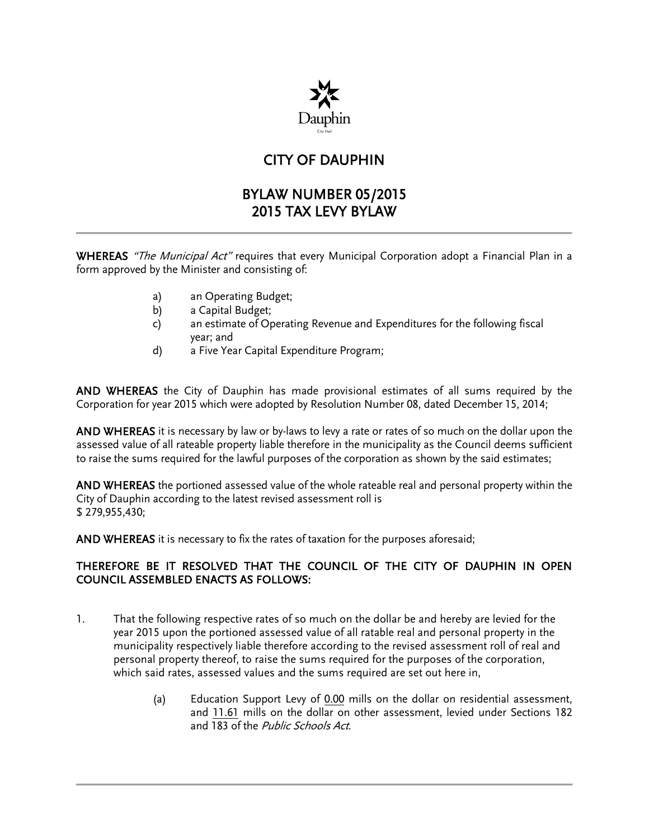

## CITY OF DAUPHIN

## BYLAW NUMBER 05/2015 2015 TAX LEVY BYLAW

WHEREAS "The Municipal Act" requires that every Municipal Corporation adopt a Financial Plan in a form approved by the Minister and consisting of:

- a) an Operating Budget;
- b) a Capital Budget;
- c) an estimate of Operating Revenue and Expenditures for the following fiscal year; and
- d) a Five Year Capital Expenditure Program;

AND WHEREAS the City of Dauphin has made provisional estimates of all sums required by the Corporation for year 2015 which were adopted by Resolution Number 08, dated December 15, 2014;

AND WHEREAS it is necessary by law or by-laws to levy a rate or rates of so much on the dollar upon the assessed value of all rateable property liable therefore in the municipality as the Council deems sufficient to raise the sums required for the lawful purposes of the corporation as shown by the said estimates;

AND WHEREAS the portioned assessed value of the whole rateable real and personal property within the City of Dauphin according to the latest revised assessment roll is \$ 279,955,430;

AND WHEREAS it is necessary to fix the rates of taxation for the purposes aforesaid;

## THEREFORE BE IT RESOLVED THAT THE COUNCIL OF THE CITY OF DAUPHIN IN OPEN COUNCIL ASSEMBLED ENACTS AS FOLLOWS:

- 1. That the following respective rates of so much on the dollar be and hereby are levied for the year 2015 upon the portioned assessed value of all ratable real and personal property in the municipality respectively liable therefore according to the revised assessment roll of real and personal property thereof, to raise the sums required for the purposes of the corporation, which said rates, assessed values and the sums required are set out here in,
	- (a) Education Support Levy of 0.00 mills on the dollar on residential assessment, and 11.61 mills on the dollar on other assessment, levied under Sections 182 and 183 of the Public Schools Act.